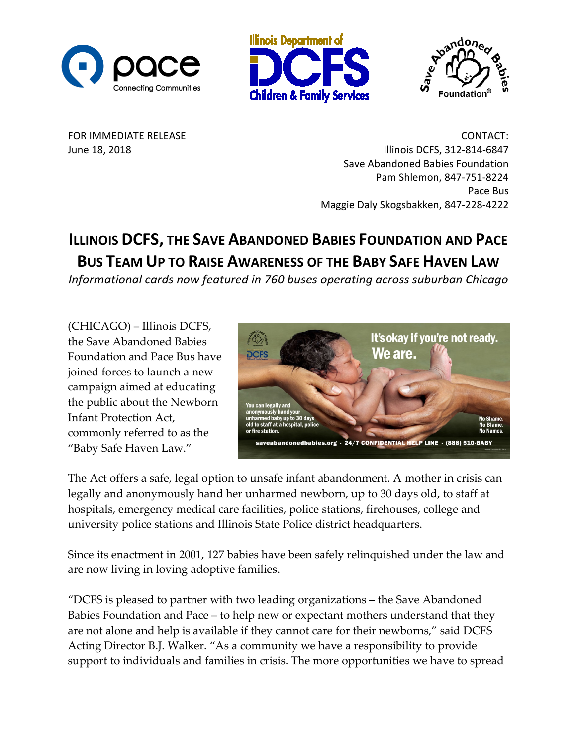





FOR IMMEDIATE RELEASE CONTACT: June 18, 2018 **Illinois DCFS**, 312-814-6847 Save Abandoned Babies Foundation Pam Shlemon, 847-751-8224 Pace Bus Maggie Daly Skogsbakken, 847-228-4222

## **ILLINOIS DCFS, THE SAVE ABANDONED BABIES FOUNDATION AND PACE BUS TEAM UP TO RAISE AWARENESS OF THE BABY SAFE HAVEN LAW**

*Informational cards now featured in 760 buses operating across suburban Chicago*

(CHICAGO) – Illinois DCFS, the Save Abandoned Babies Foundation and Pace Bus have joined forces to launch a new campaign aimed at educating the public about the Newborn Infant Protection Act, commonly referred to as the "Baby Safe Haven Law."



The Act offers a safe, legal option to unsafe infant abandonment. A mother in crisis can legally and anonymously hand her unharmed newborn, up to 30 days old, to staff at hospitals, emergency medical care facilities, police stations, firehouses, college and university police stations and Illinois State Police district headquarters.

Since its enactment in 2001, 127 babies have been safely relinquished under the law and are now living in loving adoptive families.

"DCFS is pleased to partner with two leading organizations – the Save Abandoned Babies Foundation and Pace – to help new or expectant mothers understand that they are not alone and help is available if they cannot care for their newborns," said DCFS Acting Director B.J. Walker. "As a community we have a responsibility to provide support to individuals and families in crisis. The more opportunities we have to spread